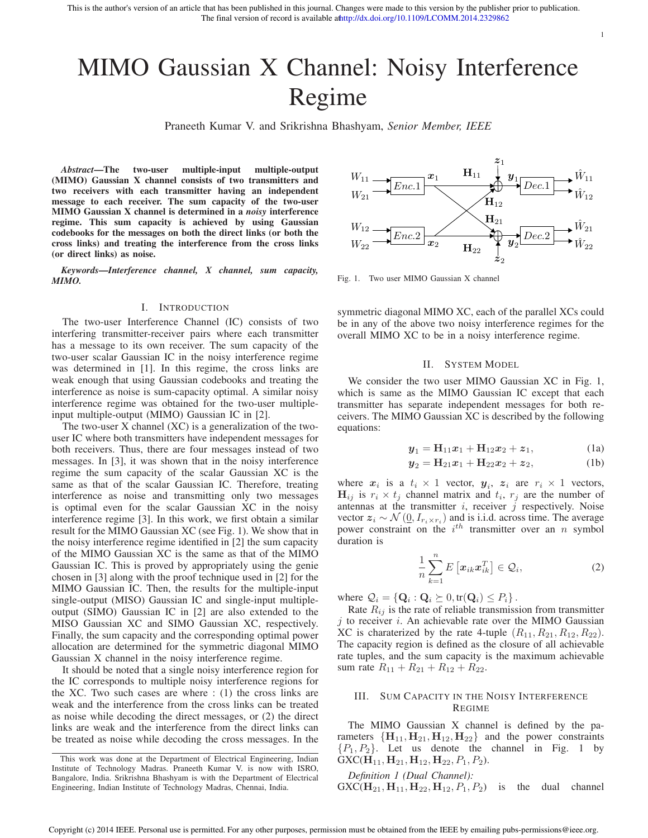# MIMO Gaussian X Channel: Noisy Interference Regime

Praneeth Kumar V. and Srikrishna Bhashyam, *Senior Member, IEEE*

*Abstract***—The two-user multiple-input multiple-output (MIMO) Gaussian X channel consists of two transmitters and two receivers with each transmitter having an independent message to each receiver. The sum capacity of the two-user MIMO Gaussian X channel is determined in a** *noisy* **interference regime. This sum capacity is achieved by using Gaussian codebooks for the messages on both the direct links (or both the cross links) and treating the interference from the cross links (or direct links) as noise.**

*Keywords***—***Interference channel, X channel, sum capacity, MIMO.*

## I. INTRODUCTION

The two-user Interference Channel (IC) consists of two interfering transmitter-receiver pairs where each transmitter has a message to its own receiver. The sum capacity of the two-user scalar Gaussian IC in the noisy interference regime was determined in [1]. In this regime, the cross links are weak enough that using Gaussian codebooks and treating the interference as noise is sum-capacity optimal. A similar noisy interference regime was obtained for the two-user multipleinput multiple-output (MIMO) Gaussian IC in [2].

The two-user X channel (XC) is a generalization of the twouser IC where both transmitters have independent messages for both receivers. Thus, there are four messages instead of two messages. In [3], it was shown that in the noisy interference regime the sum capacity of the scalar Gaussian XC is the same as that of the scalar Gaussian IC. Therefore, treating interference as noise and transmitting only two messages is optimal even for the scalar Gaussian XC in the noisy interference regime [3]. In this work, we first obtain a similar result for the MIMO Gaussian XC (see Fig. 1). We show that in the noisy interference regime identified in [2] the sum capacity of the MIMO Gaussian XC is the same as that of the MIMO Gaussian IC. This is proved by appropriately using the genie chosen in [3] along with the proof technique used in [2] for the MIMO Gaussian IC. Then, the results for the multiple-input single-output (MISO) Gaussian IC and single-input multipleoutput (SIMO) Gaussian IC in [2] are also extended to the MISO Gaussian XC and SIMO Gaussian XC, respectively. Finally, the sum capacity and the corresponding optimal power allocation are determined for the symmetric diagonal MIMO Gaussian X channel in the noisy interference regime.

It should be noted that a single noisy interference region for the IC corresponds to multiple noisy interference regions for the XC. Two such cases are where  $: (1)$  the cross links are weak and the interference from the cross links can be treated as noise while decoding the direct messages, or (2) the direct links are weak and the interference from the direct links can be treated as noise while decoding the cross messages. In the



1

Fig. 1. Two user MIMO Gaussian X channel

symmetric diagonal MIMO XC, each of the parallel XCs could be in any of the above two noisy interference regimes for the overall MIMO XC to be in a noisy interference regime.

### II. SYSTEM MODEL

We consider the two user MIMO Gaussian XC in Fig. 1, which is same as the MIMO Gaussian IC except that each transmitter has separate independent messages for both receivers. The MIMO Gaussian XC is described by the following equations:

$$
\mathbf{y}_1 = \mathbf{H}_{11}\mathbf{x}_1 + \mathbf{H}_{12}\mathbf{x}_2 + \mathbf{z}_1, \tag{1a}
$$

$$
y_2 = H_{21}x_1 + H_{22}x_2 + z_2, \tag{1b}
$$

where  $x_i$  is a  $t_i \times 1$  vector,  $y_i$ ,  $z_i$  are  $r_i \times 1$  vectors,  $H_{ij}$  is  $r_i \times t_j$  channel matrix and  $t_i$ ,  $r_j$  are the number of antennas at the transmitter  $i$ , receiver  $\tilde{j}$  respectively. Noise vector  $z_i \sim \mathcal{N}(\underline{0}, I_{r_i \times r_i})$  and is i.i.d. across time. The average power constraint on the  $i^{th}$  transmitter over an n symbol duration is

$$
\frac{1}{n}\sum_{k=1}^{n} E\left[x_{ik}x_{ik}^{T}\right] \in \mathcal{Q}_{i},\tag{2}
$$

where  $\mathcal{Q}_i = \{ \mathbf{Q}_i : \mathbf{Q}_i \succeq 0, \text{tr}(\mathbf{Q}_i) \leq P_i \}$ .

Rate  $R_{ij}$  is the rate of reliable transmission from transmitter  $j$  to receiver  $i$ . An achievable rate over the MIMO Gaussian XC is charaterized by the rate 4-tuple  $(R_{11}, R_{21}, R_{12}, R_{22})$ . The capacity region is defined as the closure of all achievable rate tuples, and the sum capacity is the maximum achievable sum rate  $R_{11} + R_{21} + R_{12} + R_{22}$ .

# III. SUM CAPACITY IN THE NOISY INTERFERENCE REGIME

The MIMO Gaussian X channel is defined by the parameters  ${H_{11}, H_{21}, H_{12}, H_{22}}$  and the power constraints  $\{P_1, P_2\}$ . Let us denote the channel in Fig. 1 by  $GXC(H_{11}, H_{21}, H_{12}, H_{22}, P_1, P_2).$ 

*Definition 1 (Dual Channel):*

 $GXC(H_{21}, H_{11}, H_{22}, H_{12}, P_1, P_2)$  is the dual channel

This work was done at the Department of Electrical Engineering, Indian Institute of Technology Madras. Praneeth Kumar V. is now with ISRO, Bangalore, India. Srikrishna Bhashyam is with the Department of Electrical Engineering, Indian Institute of Technology Madras, Chennai, India.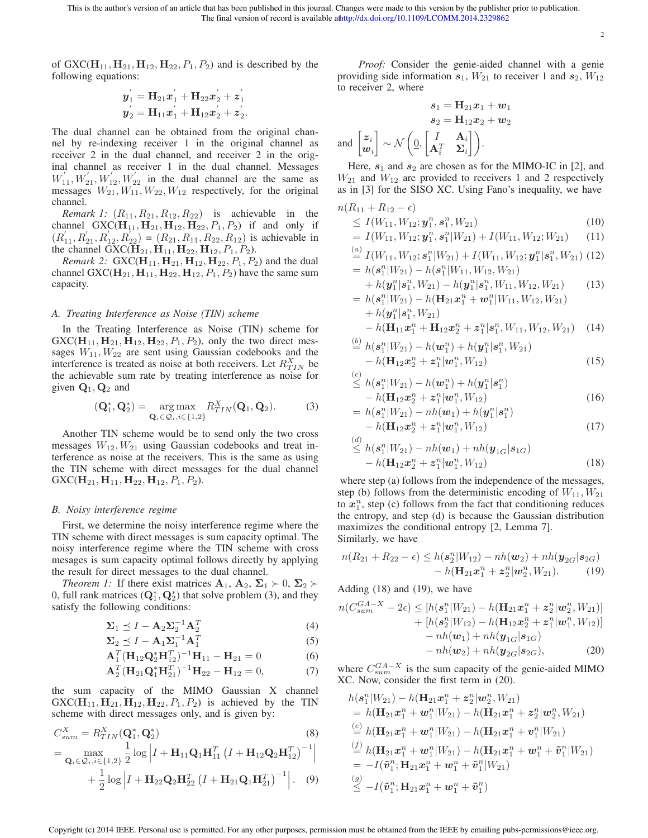This is the author's version of an article that has been published in this journal. Changes were made to this version by the publisher prior to publication. The final version of record is available athttp://dx.doi.org/10.1109/LCOMM.2014.2329862

2

of GXC( $\mathbf{H}_{11}$ ,  $\mathbf{H}_{21}$ ,  $\mathbf{H}_{12}$ ,  $\mathbf{H}_{22}$ ,  $P_1$ ,  $P_2$ ) and is described by the following equations:

$$
\begin{aligned} \boldsymbol{y}_1^{'} = \mathbf{H}_{21} \boldsymbol{x}_1^{'} + \mathbf{H}_{22} \boldsymbol{x}_2^{'} + \boldsymbol{z}_1^{'} \\ \boldsymbol{y}_2^{'} = \mathbf{H}_{11} \boldsymbol{x}_1^{'} + \mathbf{H}_{12} \boldsymbol{x}_2^{'} + \boldsymbol{z}_2^{'} . \end{aligned}
$$

The dual channel can be obtained from the original channel by re-indexing receiver 1 in the original channel as receiver 2 in the dual channel, and receiver 2 in the original channel as receiver 1 in the dual channel. Messages  $W'_{11}, W'_{21}, W'_{12}, W'_{22}$  in the dual channel are the same as messages  $W_{21}, W_{11}, W_{22}, W_{12}$  respectively, for the original channel.

*Remark 1:*  $(R_{11}, R_{21}, R_{12}, R_{22})$  is achievable in the channel GXC( $H_{11}$ ,  $H_{21}$ ,  $H_{12}$ ,  $H_{22}$ ,  $P_1$ ,  $P_2$ ) if and only if  $(R'_{11}, R'_{21}, R'_{12}, R'_{22}) = (R_{21}, R_{11}, R_{22}, R_{12})$  is achievable in the channel GXC( $\mathbf{H}_{21}$ ,  $\mathbf{H}_{11}$ ,  $\mathbf{H}_{22}$ ,  $\mathbf{H}_{12}$ ,  $P_1$ ,  $P_2$ ).

*Remark 2:*  $GXC(H_{11}, H_{21}, H_{12}, H_{22}, P_1, P_2)$  and the dual channel GXC( $H_{21}$ ,  $H_{11}$ ,  $H_{22}$ ,  $H_{12}$ ,  $P_1$ ,  $P_2$ ) have the same sum capacity.

## *A. Treating Interference as Noise (TIN) scheme*

In the Treating Interference as Noise (TIN) scheme for  $GXC(H_{11}, H_{21}, H_{12}, H_{22}, P_1, P_2)$ , only the two direct messages  $W_{11}$ ,  $W_{22}$  are sent using Gaussian codebooks and the interference is treated as noise at both receivers. Let  $R_{TIN}^X$  be the achievable sum rate by treating interference as noise for given  $Q_1$ ,  $Q_2$  and

$$
(\mathbf{Q}_1^*, \mathbf{Q}_2^*) = \underset{\mathbf{Q}_i \in \mathcal{Q}_i, i \in \{1, 2\}}{\arg \max} R_{TIN}^X(\mathbf{Q}_1, \mathbf{Q}_2). \tag{3}
$$

Another TIN scheme would be to send only the two cross messages  $W_{12}$ ,  $W_{21}$  using Gaussian codebooks and treat interference as noise at the receivers. This is the same as using the TIN scheme with direct messages for the dual channel  $GXC(\mathbf{H}_{21}, \mathbf{H}_{11}, \mathbf{H}_{22}, \mathbf{H}_{12}, P_1, P_2).$ 

### *B. Noisy interference regime*

First, we determine the noisy interference regime where the TIN scheme with direct messages is sum capacity optimal. The noisy interference regime where the TIN scheme with cross mesages is sum capacity optimal follows directly by applying the result for direct messages to the dual channel.

*Theorem 1:* If there exist matrices  $A_1, A_2, \Sigma_1 \succ 0, \Sigma_2 \succ$ 0, full rank matrices  $(Q_1^*, Q_2^*)$  that solve problem (3), and they satisfy the following conditions:

$$
\Sigma_1 \preceq I - \mathbf{A}_2 \Sigma_2^{-1} \mathbf{A}_2^T
$$
 (4)

$$
\Sigma_2 \preceq I - \mathbf{A}_1 \Sigma_1^{-1} \mathbf{A}_1^T \tag{5}
$$

$$
\mathbf{A}_1^T (\mathbf{H}_{12} \mathbf{Q}_2^* \mathbf{H}_{12}^T)^{-1} \mathbf{H}_{11} - \mathbf{H}_{21} = 0 \tag{6}
$$

$$
\mathbf{A}_2^T (\mathbf{H}_{21} \mathbf{Q}_1^* \mathbf{H}_{21}^T)^{-1} \mathbf{H}_{22} - \mathbf{H}_{12} = 0, \tag{7}
$$

the sum capacity of the MIMO Gaussian X channel  $GXC(H_{11}, H_{21}, H_{12}, H_{22}, P_1, P_2)$  is achieved by the TIN scheme with direct messages only, and is given by:

$$
C_{sum}^{X} = R_{TIN}^{X} (\mathbf{Q}_{1}^{*}, \mathbf{Q}_{2}^{*})
$$
\n
$$
= \max_{\mathbf{Q}_{i} \in \mathcal{Q}_{i}, i \in \{1,2\}} \frac{1}{2} \log \left| I + \mathbf{H}_{11} \mathbf{Q}_{1} \mathbf{H}_{11}^{T} \left( I + \mathbf{H}_{12} \mathbf{Q}_{2} \mathbf{H}_{12}^{T} \right)^{-1} \right|
$$
\n
$$
+ \frac{1}{2} \log \left| I + \mathbf{H}_{22} \mathbf{Q}_{2} \mathbf{H}_{22}^{T} \left( I + \mathbf{H}_{21} \mathbf{Q}_{1} \mathbf{H}_{21}^{T} \right)^{-1} \right|.
$$
\n(9)

*Proof:* Consider the genie-aided channel with a genie providing side information  $s_1$ ,  $W_{21}$  to receiver 1 and  $s_2$ ,  $W_{12}$ to receiver 2, where

$$
s_1 = \mathbf{H}_{21}x_1 + \mathbf{w}_1
$$

$$
s_2 = \mathbf{H}_{12}x_2 + \mathbf{w}_2
$$
and 
$$
\begin{bmatrix} z_i \\ w_i \end{bmatrix} \sim \mathcal{N}\left(\underbrace{0}_{1}, \begin{bmatrix} I & \mathbf{A}_i \\ \mathbf{A}_i^T & \mathbf{\Sigma}_i \end{bmatrix}\right).
$$

Here,  $s_1$  and  $s_2$  are chosen as for the MIMO-IC in [2], and  $W_{21}$  and  $W_{12}$  are provided to receivers 1 and 2 respectively as in [3] for the SISO XC. Using Fano's inequality, we have

$$
n(R_{11} + R_{12} - \epsilon) \le I(W_{11}, W_{12}; \mathbf{y}_1^n, \mathbf{s}_1^n, W_{21})
$$
\n(10)

$$
= I(W_{11}, W_{12}; \mathbf{y}_1^n, \mathbf{s}_1^n | W_{21}) + I(W_{11}, W_{12}; W_{21}) \qquad (11)
$$

$$
\stackrel{(a)}{=} I(W_{11}, W_{12}; \mathbf{s}_1^n | W_{21}) + I(W_{11}, W_{12}; \mathbf{y}_1^n | \mathbf{s}_1^n, W_{21}) \tag{12} = h(\mathbf{s}_1^n | W_{21}) - h(\mathbf{s}_1^n | W_{11}, W_{12}, W_{21})
$$

$$
+ h(\mathbf{y}_1^n | \mathbf{s}_1^n, W_{21}) - h(\mathbf{y}_1^n | \mathbf{s}_1^n, W_{11}, W_{12}, W_{21})
$$
  
=  $h(\mathbf{s}_1^n | W_{21}) - h(\mathbf{H}_{21} \mathbf{x}_1^n + \mathbf{w}_1^n | W_{11}, W_{12}, W_{21})$  (13)

+ 
$$
h(y_1^n | s_1^n, W_{21})
$$
  
-  $h(\mathbf{H}_{11} \mathbf{x}_1^n + \mathbf{H}_{12} \mathbf{x}_2^n + \mathbf{z}_1^n | s_1^n, W_{11}, W_{12}, W_{21})$  (14)

$$
\stackrel{(b)}{=} h(\mathbf{s}_1^n|W_{21}) - h(\mathbf{w}_1^n) + h(\mathbf{y}_1^n|\mathbf{s}_1^n, W_{21}) - h(\mathbf{H}_{12}\mathbf{x}_2^n + \mathbf{z}_1^n|\mathbf{w}_1^n, W_{12})
$$
\n(15)

$$
\leq h(\mathbf{s}_1^n|W_{21}) - h(\mathbf{w}_1^n) + h(\mathbf{y}_1^n|\mathbf{s}_1^n) - h(\mathbf{H}_{12}\mathbf{x}_2^n + \mathbf{z}_1^n|\mathbf{w}_1^n, W_{12})
$$
\n(16)

$$
= h(\mathbf{1}_{112}^{n_1} \mathbf{1}_{2}^{n_2} + 2_1 | \mathbf{w}_1, \mathbf{w}_1 | \mathbf{y}_1)
$$
  
=  $h(\mathbf{s}_1^{n_1} | \mathbf{W}_{21}) - nh(\mathbf{w}_1) + h(\mathbf{y}_1^{n_1} | \mathbf{s}_1^{n_1})$ 

$$
-h(\mathbf{H}_{12}\mathbf{x}_2^n + \mathbf{z}_1^n | \mathbf{w}_1^n, W_{12})
$$
\n<sup>(d)</sup>

$$
\leq h(s_1^n|W_{21}) - nh(w_1) + nh(y_{1G}|s_{1G}) - h(\mathbf{H}_{12}x_2^n + z_1^n|\mathbf{w}_1^n, W_{12})
$$
\n(18)

where step (a) follows from the independence of the messages, step (b) follows from the deterministic encoding of  $W_{11}, W_{21}$ to  $x_1^n$ , step (c) follows from the fact that conditioning reduces the entropy, and step (d) is because the Gaussian distribution maximizes the conditional entropy [2, Lemma 7]. Similarly, we have

$$
n(R_{21} + R_{22} - \epsilon) \le h(s_2^n|W_{12}) - nh(w_2) + nh(y_{2G}|s_{2G})
$$
  
-  $h(\mathbf{H}_{21}\mathbf{x}_1^n + \mathbf{z}_2^n|w_2^n, W_{21}).$  (19)

Adding (18) and (19), we have

$$
n(C_{sum}^{GA-X} - 2\epsilon) \le [h(s_1^n|W_{21}) - h(\mathbf{H}_{21}\mathbf{x}_1^n + \mathbf{z}_2^n|\mathbf{w}_2^n, W_{21})] + [h(s_2^n|W_{12}) - h(\mathbf{H}_{12}\mathbf{x}_2^n + \mathbf{z}_1^n|\mathbf{w}_1^n, W_{12})] - nh(\mathbf{w}_1) + nh(\mathbf{y}_{1G}|\mathbf{s}_{1G}) - nh(\mathbf{w}_2) + nh(\mathbf{y}_{2G}|\mathbf{s}_{2G}),
$$
 (20)

where  $C_{sum}^{GA-X}$  is the sum capacity of the genie-aided MIMO XC. Now, consider the first term in (20).

$$
h(s_1^n|W_{21}) - h(\mathbf{H}_{21}x_1^n + z_2^n|\boldsymbol{w}_2^n, W_{21})
$$
  
\n=  $h(\mathbf{H}_{21}x_1^n + \boldsymbol{w}_1^n|W_{21}) - h(\mathbf{H}_{21}x_1^n + z_2^n|\boldsymbol{w}_2^n, W_{21})$   
\n $\stackrel{(e)}{=} h(\mathbf{H}_{21}x_1^n + \boldsymbol{w}_1^n|W_{21}) - h(\mathbf{H}_{21}x_1^n + \boldsymbol{v}_1^n|W_{21})$   
\n $\stackrel{(f)}{=} h(\mathbf{H}_{21}x_1^n + \boldsymbol{w}_1^n|W_{21}) - h(\mathbf{H}_{21}x_1^n + \boldsymbol{w}_1^n + \tilde{\boldsymbol{v}}_1^n|W_{21})$   
\n=  $-I(\tilde{\boldsymbol{v}}_1^n; \mathbf{H}_{21}x_1^n + \boldsymbol{w}_1^n + \tilde{\boldsymbol{v}}_1^n|W_{21})$   
\n $\stackrel{(g)}{\leq} -I(\tilde{\boldsymbol{v}}_1^n; \mathbf{H}_{21}x_1^n + \boldsymbol{w}_1^n + \tilde{\boldsymbol{v}}_1^n)$ 

Copyright (c) 2014 IEEE. Personal use is permitted. For any other purposes, permission must be obtained from the IEEE by emailing pubs-permissions@ieee.org.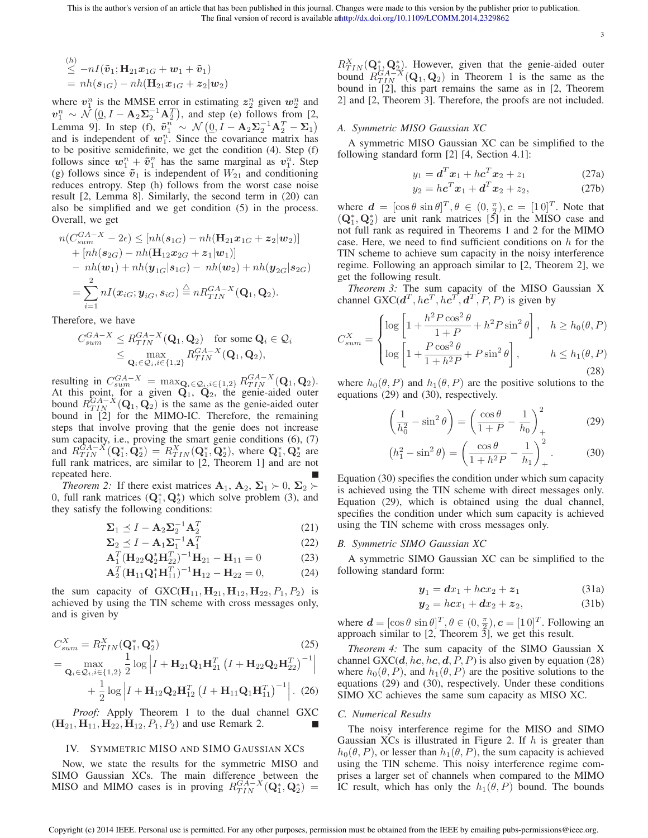3

$$
\leq \begin{aligned} &{}^{(h)} \leq -nI(\tilde{\mathbf{v}}_1; \mathbf{H}_{21}\mathbf{x}_{1G} + \mathbf{w}_1 + \tilde{\mathbf{v}}_1) \\ &= nh(\mathbf{s}_{1G}) - nh(\mathbf{H}_{21}\mathbf{x}_{1G} + \mathbf{z}_2 | \mathbf{w}_2) \end{aligned}
$$

where  $v_1^n$  is the MMSE error in estimating  $z_2^n$  given  $w_2^n$  and  $v_1^n \sim \mathcal{N}(\underline{0}, I - \mathbf{A}_2 \Sigma_2^{-1} \mathbf{A}_2^T)$ , and step (e) follows from [2, Lemma 9]. In step (f),  $\tilde{v}_1^n \sim \mathcal{N}(\underline{0}, I - \mathbf{A}_2 \Sigma_2^{-1} \mathbf{A}_2^T - \Sigma_1)$ and is independent of  $w_1^n$ . Since the covariance matrix has to be positive semidefinite, we get the condition (4). Step (f) follows since  $w_1^n + \tilde{v}_1^n$  has the same marginal as  $v_1^n$ . Step (g) follows since  $\tilde{v}_1$  is independent of  $W_{21}$  and conditioning reduces entropy. Step (h) follows from the worst case noise result [2, Lemma 8]. Similarly, the second term in (20) can also be simplified and we get condition (5) in the process. Overall, we get

$$
n(C_{sum}^{GA-X} - 2\epsilon) \leq [nh(\mathbf{s}_{1G}) - nh(\mathbf{H}_{21}\mathbf{x}_{1G} + \mathbf{z}_{2}|\mathbf{w}_{2})]
$$
  
+ 
$$
[nh(\mathbf{s}_{2G}) - nh(\mathbf{H}_{12}\mathbf{x}_{2G} + \mathbf{z}_{1}|\mathbf{w}_{1})]
$$
  
- 
$$
nh(\mathbf{w}_{1}) + nh(\mathbf{y}_{1G}|\mathbf{s}_{1G}) - nh(\mathbf{w}_{2}) + nh(\mathbf{y}_{2G}|\mathbf{s}_{2G})
$$
  
= 
$$
\sum_{i=1}^{2} nI(\mathbf{x}_{iG}; \mathbf{y}_{iG}, \mathbf{s}_{iG}) \stackrel{\triangle}{=} nR_{TIN}^{GA-X}(\mathbf{Q}_{1}, \mathbf{Q}_{2}).
$$

Therefore, we have

$$
C_{sum}^{GA-X} \leq R_{TIN}^{GA-X}(\mathbf{Q}_1, \mathbf{Q}_2) \quad \text{for some } \mathbf{Q}_i \in \mathcal{Q}_i
$$

$$
\leq \max_{\mathbf{Q}_i \in \mathcal{Q}_i, i \in \{1, 2\}} R_{TIN}^{GA-X}(\mathbf{Q}_1, \mathbf{Q}_2),
$$

resulting in  $C_{sum}^{GA-X} = \max_{\mathbf{Q}_i \in \mathcal{Q}_i, i \in \{1,2\}} R_{TIN}^{GA-X}(\mathbf{Q}_1, \mathbf{Q}_2)$ . At this point, for a given  $Q_1$ ,  $Q_2$ , the genie-aided outer bound  $R_{TIN}^{G A-X}(\mathbf{Q}_1, \mathbf{Q}_2)$  is the same as the genie-aided outer bound in [2] for the MIMO-IC. Therefore, the remaining steps that involve proving that the genie does not increase sum capacity, i.e., proving the smart genie conditions (6), (7) and  $R_{TIN}^{GA-X}(\mathbf{Q}_1^*, \hat{\mathbf{Q}}_2^*) = R_{TIN}^X(\mathbf{Q}_1^*, \bar{\mathbf{Q}}_2^*)$ , where  $\mathbf{Q}_1^*, \mathbf{Q}_2^*$  are full rank matrices, are similar to [2, Theorem 1] and are not repeated here.

*Theorem 2:* If there exist matrices  $A_1, A_2, \Sigma_1 \succ 0, \Sigma_2 \succ$ 0, full rank matrices  $(Q_1^*, Q_2^*)$  which solve problem (3), and they satisfy the following conditions:

$$
\Sigma_1 \preceq I - \mathbf{A}_2 \Sigma_2^{-1} \mathbf{A}_2^T \tag{21}
$$

$$
\Sigma_2 \preceq I - \mathbf{A}_1 \Sigma_1^{-1} \mathbf{A}_1^T \tag{22}
$$

$$
\mathbf{A}_1^T (\mathbf{H}_{22} \mathbf{Q}_2^* \mathbf{H}_{22}^T)^{-1} \mathbf{H}_{21} - \mathbf{H}_{11} = 0 \tag{23}
$$

$$
\mathbf{A}_2^T (\mathbf{H}_{11} \mathbf{Q}_1^* \mathbf{H}_{11}^T)^{-1} \mathbf{H}_{12} - \mathbf{H}_{22} = 0, \tag{24}
$$

the sum capacity of  $GXC(H_{11}, H_{21}, H_{12}, H_{22}, P_1, P_2)$  is achieved by using the TIN scheme with cross messages only, and is given by

$$
C_{sum}^{X} = R_{TIN}^{X} (\mathbf{Q}_{1}^{*}, \mathbf{Q}_{2}^{*})
$$
\n
$$
= \max_{\mathbf{Q}_{i} \in \mathcal{Q}_{i}, i \in \{1, 2\}} \frac{1}{2} \log \left| I + \mathbf{H}_{21} \mathbf{Q}_{1} \mathbf{H}_{21}^{T} \left( I + \mathbf{H}_{22} \mathbf{Q}_{2} \mathbf{H}_{22}^{T} \right)^{-1} \right|
$$
\n
$$
+ \frac{1}{2} \log \left| I + \mathbf{H}_{12} \mathbf{Q}_{2} \mathbf{H}_{12}^{T} \left( I + \mathbf{H}_{11} \mathbf{Q}_{1} \mathbf{H}_{11}^{T} \right)^{-1} \right|.
$$
\n(26)

*Proof:* Apply Theorem 1 to the dual channel GXC  $(H_{21}, H_{11}, H_{22}, H_{12}, P_1, P_2)$  and use Remark 2.

# IV. SYMMETRIC MISO AND SIMO GAUSSIAN XCS

Now, we state the results for the symmetric MISO and SIMO Gaussian XCs. The main difference between the MISO and MIMO cases is in proving  $R_{TIN}^{GA-X}(\mathbf{Q}_1^*, \mathbf{Q}_2^*)$  =

 $R_{TIN}^X(\mathbf{Q}_{1}^*, \mathbf{Q}_{2}^*)$ . However, given that the genie-aided outer bound  $R_{TIN}^{GA-X}(\mathbf{Q}_1, \mathbf{Q}_2)$  in Theorem 1 is the same as the bound in [2], this part remains the same as in [2, Theorem 2] and [2, Theorem 3]. Therefore, the proofs are not included.

# *A. Symmetric MISO Gaussian XC*

A symmetric MISO Gaussian XC can be simplified to the following standard form [2] [4, Section 4.1]:

$$
y_1 = \boldsymbol{d}^T \boldsymbol{x}_1 + h \boldsymbol{c}^T \boldsymbol{x}_2 + z_1 \tag{27a}
$$

$$
y_2 = h\mathbf{c}^T\mathbf{x}_1 + \mathbf{d}^T\mathbf{x}_2 + z_2, \tag{27b}
$$

where  $\mathbf{d} = [\cos \theta \sin \theta]^T, \theta \in (0, \frac{\pi}{2}), \mathbf{c} = [1 \ 0]^T$ . Note that  $(Q_1^*, Q_2^*)$  are unit rank matrices  $[\overline{5}]$  in the MISO case and not full rank as required in Theorems 1 and 2 for the MIMO case. Here, we need to find sufficient conditions on  $h$  for the TIN scheme to achieve sum capacity in the noisy interference regime. Following an approach similar to [2, Theorem 2], we get the following result.

*Theorem 3:* The sum capacity of the MISO Gaussian X channel GXC( $d^T$ ,  $hc^T$ ,  $hc^T$ ,  $d^T$ ,  $P$ ,  $P$ ) is given by

$$
C_{sum}^{X} = \begin{cases} \log\left[1 + \frac{h^2 P \cos^2 \theta}{1 + P} + h^2 P \sin^2 \theta\right], & h \ge h_0(\theta, P) \\ \log\left[1 + \frac{P \cos^2 \theta}{1 + h^2 P} + P \sin^2 \theta\right], & h \le h_1(\theta, P) \end{cases}
$$
(28)

where  $h_0(\theta, P)$  and  $h_1(\theta, P)$  are the positive solutions to the equations (29) and (30), respectively.

$$
\left(\frac{1}{h_0^2} - \sin^2 \theta\right) = \left(\frac{\cos \theta}{1+P} - \frac{1}{h_0}\right)_+^2\tag{29}
$$

$$
(h_1^2 - \sin^2 \theta) = \left(\frac{\cos \theta}{1 + h^2 P} - \frac{1}{h_1}\right)_+^2.
$$
 (30)

Equation (30) specifies the condition under which sum capacity is achieved using the TIN scheme with direct messages only. Equation (29), which is obtained using the dual channel, specifies the condition under which sum capacity is achieved using the TIN scheme with cross messages only.

## *B. Symmetric SIMO Gaussian XC*

A symmetric SIMO Gaussian XC can be simplified to the following standard form:

$$
\boldsymbol{y}_1 = \boldsymbol{dx}_1 + h\boldsymbol{c}\boldsymbol{x}_2 + \boldsymbol{z}_1 \tag{31a}
$$

$$
y_2 = hcx_1 + dx_2 + z_2, \t(31b)
$$

where  $\mathbf{d} = [\cos \theta \sin \theta]^T$ ,  $\theta \in (0, \frac{\pi}{2})$ ,  $\mathbf{c} = [1 \ 0]^T$ . Following an approach similar to  $[2,$  Theorem  $\overline{3}]$ , we get this result.

*Theorem 4:* The sum capacity of the SIMO Gaussian X channel GXC( $d$ , hc, hc,  $d$ , P, P) is also given by equation (28) where  $h_0(\theta, P)$ , and  $h_1(\theta, P)$  are the positive solutions to the equations (29) and (30), respectively. Under these conditions SIMO XC achieves the same sum capacity as MISO XC.

## *C. Numerical Results*

The noisy interference regime for the MISO and SIMO Gaussian XCs is illustrated in Figure 2. If  $h$  is greater than  $h_0(\theta, P)$ , or lesser than  $h_1(\theta, P)$ , the sum capacity is achieved using the TIN scheme. This noisy interference regime comprises a larger set of channels when compared to the MIMO IC result, which has only the  $h_1(\theta, P)$  bound. The bounds